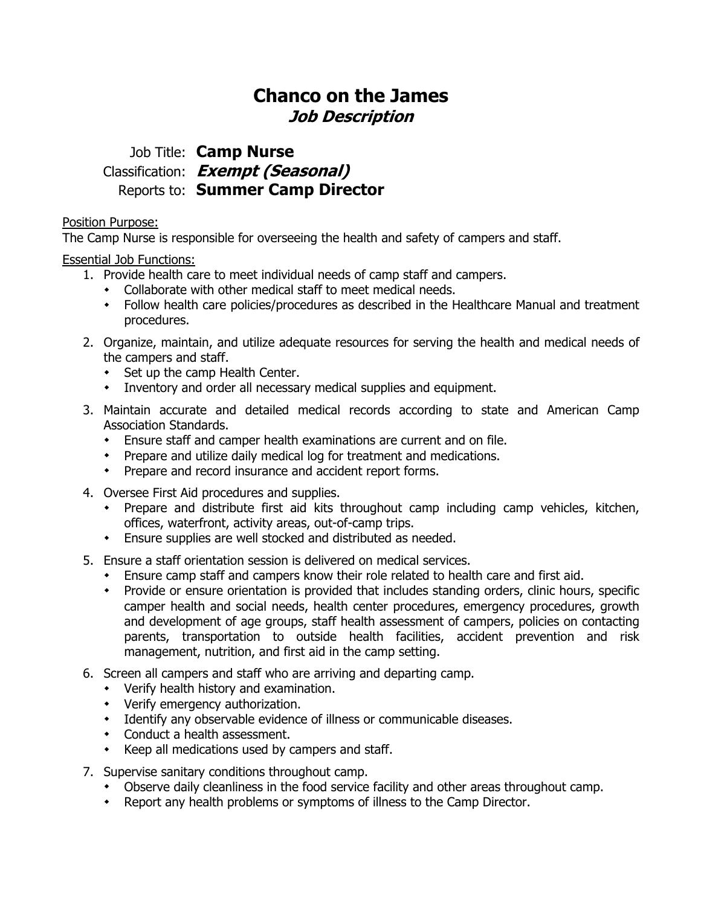# **Chanco on the James Job Description**

## Job Title: **Camp Nurse** Classification: **Exempt (Seasonal)** Reports to: **Summer Camp Director**

Position Purpose:

The Camp Nurse is responsible for overseeing the health and safety of campers and staff.

Essential Job Functions:

- 1. Provide health care to meet individual needs of camp staff and campers.
	- Collaborate with other medical staff to meet medical needs.
	- Follow health care policies/procedures as described in the Healthcare Manual and treatment procedures.
- 2. Organize, maintain, and utilize adequate resources for serving the health and medical needs of the campers and staff.
	- Set up the camp Health Center.
	- Inventory and order all necessary medical supplies and equipment.
- 3. Maintain accurate and detailed medical records according to state and American Camp Association Standards.
	- Ensure staff and camper health examinations are current and on file.
	- Prepare and utilize daily medical log for treatment and medications.
	- Prepare and record insurance and accident report forms.
- 4. Oversee First Aid procedures and supplies.
	- Prepare and distribute first aid kits throughout camp including camp vehicles, kitchen, offices, waterfront, activity areas, out-of-camp trips.
	- Ensure supplies are well stocked and distributed as needed.
- 5. Ensure a staff orientation session is delivered on medical services.
	- Ensure camp staff and campers know their role related to health care and first aid.
	- Provide or ensure orientation is provided that includes standing orders, clinic hours, specific camper health and social needs, health center procedures, emergency procedures, growth and development of age groups, staff health assessment of campers, policies on contacting parents, transportation to outside health facilities, accident prevention and risk management, nutrition, and first aid in the camp setting.
- 6. Screen all campers and staff who are arriving and departing camp.
	- Verify health history and examination.
	- Verify emergency authorization.
	- Identify any observable evidence of illness or communicable diseases.
	- Conduct a health assessment.
	- Keep all medications used by campers and staff.
- 7. Supervise sanitary conditions throughout camp.
	- Observe daily cleanliness in the food service facility and other areas throughout camp.
	- Report any health problems or symptoms of illness to the Camp Director.